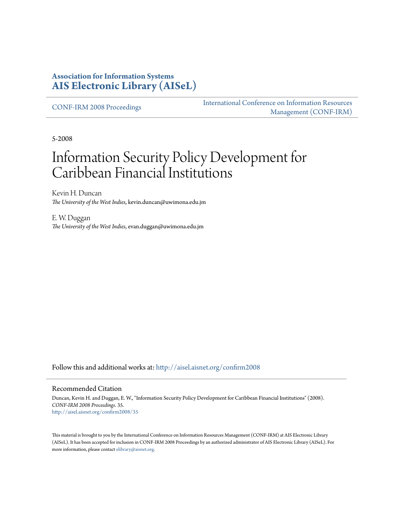#### **Association for Information Systems [AIS Electronic Library \(AISeL\)](http://aisel.aisnet.org?utm_source=aisel.aisnet.org%2Fconfirm2008%2F35&utm_medium=PDF&utm_campaign=PDFCoverPages)**

[CONF-IRM 2008 Proceedings](http://aisel.aisnet.org/confirm2008?utm_source=aisel.aisnet.org%2Fconfirm2008%2F35&utm_medium=PDF&utm_campaign=PDFCoverPages)

[International Conference on Information Resources](http://aisel.aisnet.org/conf-irm?utm_source=aisel.aisnet.org%2Fconfirm2008%2F35&utm_medium=PDF&utm_campaign=PDFCoverPages) [Management \(CONF-IRM\)](http://aisel.aisnet.org/conf-irm?utm_source=aisel.aisnet.org%2Fconfirm2008%2F35&utm_medium=PDF&utm_campaign=PDFCoverPages)

5-2008

# Information Security Policy Development for Caribbean Financial Institutions

Kevin H. Duncan *The University of the West Indies*, kevin.duncan@uwimona.edu.jm

E. W. Duggan *The University of the West Indies*, evan.duggan@uwimona.edu.jm

Follow this and additional works at: [http://aisel.aisnet.org/confirm2008](http://aisel.aisnet.org/confirm2008?utm_source=aisel.aisnet.org%2Fconfirm2008%2F35&utm_medium=PDF&utm_campaign=PDFCoverPages)

#### Recommended Citation

Duncan, Kevin H. and Duggan, E. W., "Information Security Policy Development for Caribbean Financial Institutions" (2008). *CONF-IRM 2008 Proceedings*. 35. [http://aisel.aisnet.org/confirm2008/35](http://aisel.aisnet.org/confirm2008/35?utm_source=aisel.aisnet.org%2Fconfirm2008%2F35&utm_medium=PDF&utm_campaign=PDFCoverPages)

This material is brought to you by the International Conference on Information Resources Management (CONF-IRM) at AIS Electronic Library (AISeL). It has been accepted for inclusion in CONF-IRM 2008 Proceedings by an authorized administrator of AIS Electronic Library (AISeL). For more information, please contact [elibrary@aisnet.org.](mailto:elibrary@aisnet.org%3E)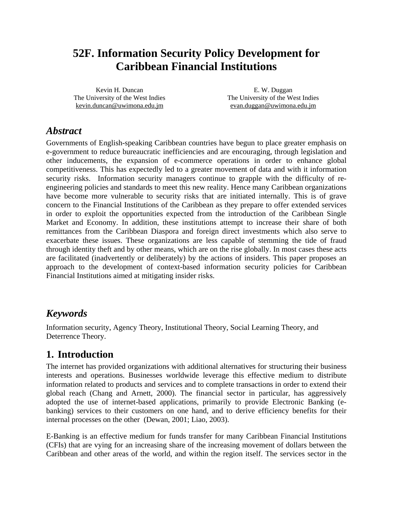## **52F. Information Security Policy Development for Caribbean Financial Institutions**

Kevin H. Duncan The University of the West Indies kevin.duncan@uwimona.edu.jm

E. W. Duggan The University of the West Indies evan.duggan@uwimona.edu.jm

### *Abstract*

Governments of English-speaking Caribbean countries have begun to place greater emphasis on e-government to reduce bureaucratic inefficiencies and are encouraging, through legislation and other inducements, the expansion of e-commerce operations in order to enhance global competitiveness. This has expectedly led to a greater movement of data and with it information security risks. Information security managers continue to grapple with the difficulty of reengineering policies and standards to meet this new reality. Hence many Caribbean organizations have become more vulnerable to security risks that are initiated internally. This is of grave concern to the Financial Institutions of the Caribbean as they prepare to offer extended services in order to exploit the opportunities expected from the introduction of the Caribbean Single Market and Economy. In addition, these institutions attempt to increase their share of both remittances from the Caribbean Diaspora and foreign direct investments which also serve to exacerbate these issues. These organizations are less capable of stemming the tide of fraud through identity theft and by other means, which are on the rise globally. In most cases these acts are facilitated (inadvertently or deliberately) by the actions of insiders. This paper proposes an approach to the development of context-based information security policies for Caribbean Financial Institutions aimed at mitigating insider risks.

#### *Keywords*

Information security, Agency Theory, Institutional Theory, Social Learning Theory, and Deterrence Theory.

#### **1. Introduction**

The internet has provided organizations with additional alternatives for structuring their business interests and operations. Businesses worldwide leverage this effective medium to distribute information related to products and services and to complete transactions in order to extend their global reach (Chang and Arnett, 2000). The financial sector in particular, has aggressively adopted the use of internet-based applications, primarily to provide Electronic Banking (ebanking) services to their customers on one hand, and to derive efficiency benefits for their internal processes on the other (Dewan, 2001; Liao, 2003).

E-Banking is an effective medium for funds transfer for many Caribbean Financial Institutions (CFIs) that are vying for an increasing share of the increasing movement of dollars between the Caribbean and other areas of the world, and within the region itself. The services sector in the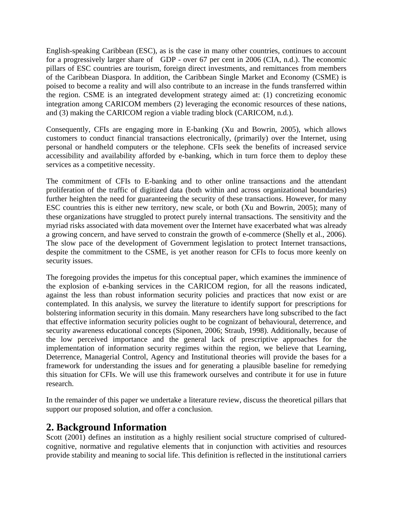English-speaking Caribbean (ESC), as is the case in many other countries, continues to account for a progressively larger share of GDP - over 67 per cent in 2006 (CIA, n.d.). The economic pillars of ESC countries are tourism, foreign direct investments, and remittances from members of the Caribbean Diaspora. In addition, the Caribbean Single Market and Economy (CSME) is poised to become a reality and will also contribute to an increase in the funds transferred within the region. CSME is an integrated development strategy aimed at: (1) concretizing economic integration among CARICOM members (2) leveraging the economic resources of these nations, and (3) making the CARICOM region a viable trading block (CARICOM, n.d.).

Consequently, CFIs are engaging more in E-banking (Xu and Bowrin, 2005), which allows customers to conduct financial transactions electronically, (primarily) over the Internet, using personal or handheld computers or the telephone. CFIs seek the benefits of increased service accessibility and availability afforded by e-banking, which in turn force them to deploy these services as a competitive necessity.

The commitment of CFIs to E-banking and to other online transactions and the attendant proliferation of the traffic of digitized data (both within and across organizational boundaries) further heighten the need for guaranteeing the security of these transactions. However, for many ESC countries this is either new territory, new scale, or both (Xu and Bowrin, 2005); many of these organizations have struggled to protect purely internal transactions. The sensitivity and the myriad risks associated with data movement over the Internet have exacerbated what was already a growing concern, and have served to constrain the growth of e-commerce (Shelly et al., 2006). The slow pace of the development of Government legislation to protect Internet transactions, despite the commitment to the CSME, is yet another reason for CFIs to focus more keenly on security issues.

The foregoing provides the impetus for this conceptual paper, which examines the imminence of the explosion of e-banking services in the CARICOM region, for all the reasons indicated, against the less than robust information security policies and practices that now exist or are contemplated. In this analysis, we survey the literature to identify support for prescriptions for bolstering information security in this domain. Many researchers have long subscribed to the fact that effective information security policies ought to be cognizant of behavioural, deterrence, and security awareness educational concepts (Siponen, 2006; Straub, 1998). Additionally, because of the low perceived importance and the general lack of prescriptive approaches for the implementation of information security regimes within the region, we believe that Learning, Deterrence, Managerial Control, Agency and Institutional theories will provide the bases for a framework for understanding the issues and for generating a plausible baseline for remedying this situation for CFIs. We will use this framework ourselves and contribute it for use in future research.

In the remainder of this paper we undertake a literature review, discuss the theoretical pillars that support our proposed solution, and offer a conclusion.

#### **2. Background Information**

Scott (2001) defines an institution as a highly resilient social structure comprised of culturedcognitive, normative and regulative elements that in conjunction with activities and resources provide stability and meaning to social life. This definition is reflected in the institutional carriers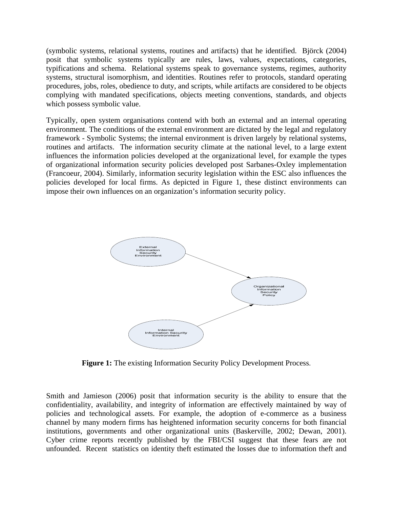(symbolic systems, relational systems, routines and artifacts) that he identified. Björck (2004) posit that symbolic systems typically are rules, laws, values, expectations, categories, typifications and schema. Relational systems speak to governance systems, regimes, authority systems, structural isomorphism, and identities. Routines refer to protocols, standard operating procedures, jobs, roles, obedience to duty, and scripts, while artifacts are considered to be objects complying with mandated specifications, objects meeting conventions, standards, and objects which possess symbolic value.

Typically, open system organisations contend with both an external and an internal operating environment. The conditions of the external environment are dictated by the legal and regulatory framework - Symbolic Systems; the internal environment is driven largely by relational systems, routines and artifacts. The information security climate at the national level, to a large extent influences the information policies developed at the organizational level, for example the types of organizational information security policies developed post Sarbanes-Oxley implementation (Francoeur, 2004). Similarly, information security legislation within the ESC also influences the policies developed for local firms. As depicted in Figure 1, these distinct environments can impose their own influences on an organization's information security policy.



**Figure 1:** The existing Information Security Policy Development Process.

Smith and Jamieson (2006) posit that information security is the ability to ensure that the confidentiality, availability, and integrity of information are effectively maintained by way of policies and technological assets. For example, the adoption of e-commerce as a business channel by many modern firms has heightened information security concerns for both financial institutions, governments and other organizational units (Baskerville, 2002; Dewan, 2001). Cyber crime reports recently published by the FBI/CSI suggest that these fears are not unfounded. Recent statistics on identity theft estimated the losses due to information theft and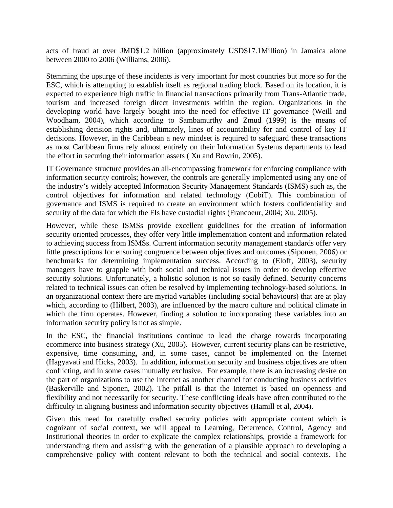acts of fraud at over JMD\$1.2 billion (approximately USD\$17.1Million) in Jamaica alone between 2000 to 2006 (Williams, 2006).

Stemming the upsurge of these incidents is very important for most countries but more so for the ESC, which is attempting to establish itself as regional trading block. Based on its location, it is expected to experience high traffic in financial transactions primarily from Trans-Atlantic trade, tourism and increased foreign direct investments within the region. Organizations in the developing world have largely bought into the need for effective IT governance (Weill and Woodham, 2004), which according to Sambamurthy and Zmud (1999) is the means of establishing decision rights and, ultimately, lines of accountability for and control of key IT decisions. However, in the Caribbean a new mindset is required to safeguard these transactions as most Caribbean firms rely almost entirely on their Information Systems departments to lead the effort in securing their information assets ( Xu and Bowrin, 2005).

IT Governance structure provides an all-encompassing framework for enforcing compliance with information security controls; however, the controls are generally implemented using any one of the industry's widely accepted Information Security Management Standards (ISMS) such as, the control objectives for information and related technology (CobiT). This combination of governance and ISMS is required to create an environment which fosters confidentiality and security of the data for which the FIs have custodial rights (Francoeur, 2004; Xu, 2005).

However, while these ISMSs provide excellent guidelines for the creation of information security oriented processes, they offer very little implementation content and information related to achieving success from ISMSs. Current information security management standards offer very little prescriptions for ensuring congruence between objectives and outcomes (Siponen, 2006) or benchmarks for determining implementation success. According to (Eloff, 2003), security managers have to grapple with both social and technical issues in order to develop effective security solutions. Unfortunately, a holistic solution is not so easily defined. Security concerns related to technical issues can often be resolved by implementing technology-based solutions. In an organizational context there are myriad variables (including social behaviours) that are at play which, according to (Hilbert, 2003), are influenced by the macro culture and political climate in which the firm operates. However, finding a solution to incorporating these variables into an information security policy is not as simple.

In the ESC, the financial institutions continue to lead the charge towards incorporating ecommerce into business strategy (Xu, 2005). However, current security plans can be restrictive, expensive, time consuming, and, in some cases, cannot be implemented on the Internet (Hagyavati and Hicks, 2003). In addition, information security and business objectives are often conflicting, and in some cases mutually exclusive. For example, there is an increasing desire on the part of organizations to use the Internet as another channel for conducting business activities (Baskerville and Siponen, 2002). The pitfall is that the Internet is based on openness and flexibility and not necessarily for security. These conflicting ideals have often contributed to the difficulty in aligning business and information security objectives (Hamill et al, 2004).

Given this need for carefully crafted security policies with appropriate content which is cognizant of social context, we will appeal to Learning, Deterrence, Control, Agency and Institutional theories in order to explicate the complex relationships, provide a framework for understanding them and assisting with the generation of a plausible approach to developing a comprehensive policy with content relevant to both the technical and social contexts. The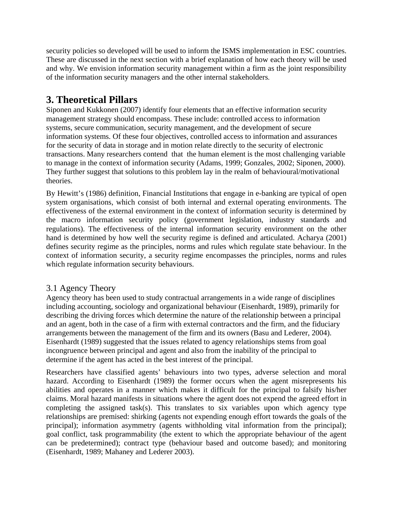security policies so developed will be used to inform the ISMS implementation in ESC countries. These are discussed in the next section with a brief explanation of how each theory will be used and why. We envision information security management within a firm as the joint responsibility of the information security managers and the other internal stakeholders.

### **3. Theoretical Pillars**

Siponen and Kukkonen (2007) identify four elements that an effective information security management strategy should encompass. These include: controlled access to information systems, secure communication, security management, and the development of secure information systems. Of these four objectives, controlled access to information and assurances for the security of data in storage and in motion relate directly to the security of electronic transactions. Many researchers contend that the human element is the most challenging variable to manage in the context of information security (Adams, 1999; Gonzales, 2002; Siponen, 2000). They further suggest that solutions to this problem lay in the realm of behavioural/motivational theories.

By Hewitt's (1986) definition, Financial Institutions that engage in e-banking are typical of open system organisations, which consist of both internal and external operating environments. The effectiveness of the external environment in the context of information security is determined by the macro information security policy (government legislation, industry standards and regulations). The effectiveness of the internal information security environment on the other hand is determined by how well the security regime is defined and articulated. Acharya (2001) defines security regime as the principles, norms and rules which regulate state behaviour. In the context of information security, a security regime encompasses the principles, norms and rules which regulate information security behaviours.

#### 3.1 Agency Theory

Agency theory has been used to study contractual arrangements in a wide range of disciplines including accounting, sociology and organizational behaviour (Eisenhardt, 1989), primarily for describing the driving forces which determine the nature of the relationship between a principal and an agent, both in the case of a firm with external contractors and the firm, and the fiduciary arrangements between the management of the firm and its owners (Basu and Lederer, 2004). Eisenhardt (1989) suggested that the issues related to agency relationships stems from goal incongruence between principal and agent and also from the inability of the principal to determine if the agent has acted in the best interest of the principal.

Researchers have classified agents' behaviours into two types, adverse selection and moral hazard. According to Eisenhardt (1989) the former occurs when the agent misrepresents his abilities and operates in a manner which makes it difficult for the principal to falsify his/her claims. Moral hazard manifests in situations where the agent does not expend the agreed effort in completing the assigned task(s). This translates to six variables upon which agency type relationships are premised: shirking (agents not expending enough effort towards the goals of the principal); information asymmetry (agents withholding vital information from the principal); goal conflict, task programmability (the extent to which the appropriate behaviour of the agent can be predetermined); contract type (behaviour based and outcome based); and monitoring (Eisenhardt, 1989; Mahaney and Lederer 2003).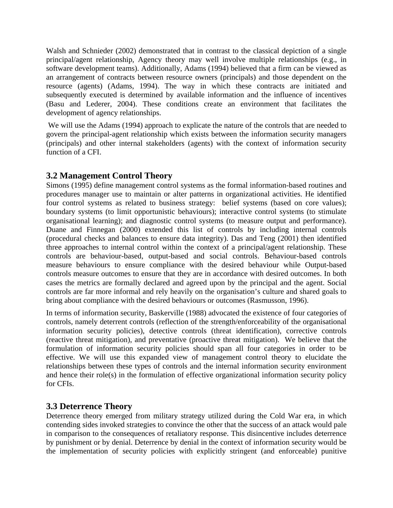Walsh and Schnieder (2002) demonstrated that in contrast to the classical depiction of a single principal/agent relationship, Agency theory may well involve multiple relationships (e.g., in software development teams). Additionally, Adams (1994) believed that a firm can be viewed as an arrangement of contracts between resource owners (principals) and those dependent on the resource (agents) (Adams, 1994). The way in which these contracts are initiated and subsequently executed is determined by available information and the influence of incentives (Basu and Lederer, 2004). These conditions create an environment that facilitates the development of agency relationships.

 We will use the Adams (1994) approach to explicate the nature of the controls that are needed to govern the principal-agent relationship which exists between the information security managers (principals) and other internal stakeholders (agents) with the context of information security function of a CFI.

#### **3.2 Management Control Theory**

Simons (1995) define management control systems as the formal information-based routines and procedures manager use to maintain or alter patterns in organizational activities. He identified four control systems as related to business strategy: belief systems (based on core values); boundary systems (to limit opportunistic behaviours); interactive control systems (to stimulate organisational learning); and diagnostic control systems (to measure output and performance). Duane and Finnegan (2000) extended this list of controls by including internal controls (procedural checks and balances to ensure data integrity). Das and Teng (2001) then identified three approaches to internal control within the context of a principal/agent relationship. These controls are behaviour-based, output-based and social controls. Behaviour-based controls measure behaviours to ensure compliance with the desired behaviour while Output-based controls measure outcomes to ensure that they are in accordance with desired outcomes. In both cases the metrics are formally declared and agreed upon by the principal and the agent. Social controls are far more informal and rely heavily on the organisation's culture and shared goals to bring about compliance with the desired behaviours or outcomes (Rasmusson, 1996).

In terms of information security, Baskerville (1988) advocated the existence of four categories of controls, namely deterrent controls (reflection of the strength/enforceability of the organisational information security policies), detective controls (threat identification), corrective controls (reactive threat mitigation), and preventative (proactive threat mitigation). We believe that the formulation of information security policies should span all four categories in order to be effective. We will use this expanded view of management control theory to elucidate the relationships between these types of controls and the internal information security environment and hence their role(s) in the formulation of effective organizational information security policy for CFIs.

#### **3.3 Deterrence Theory**

Deterrence theory emerged from military strategy utilized during the Cold War era, in which contending sides invoked strategies to convince the other that the success of an attack would pale in comparison to the consequences of retaliatory response. This disincentive includes deterrence by punishment or by denial. Deterrence by denial in the context of information security would be the implementation of security policies with explicitly stringent (and enforceable) punitive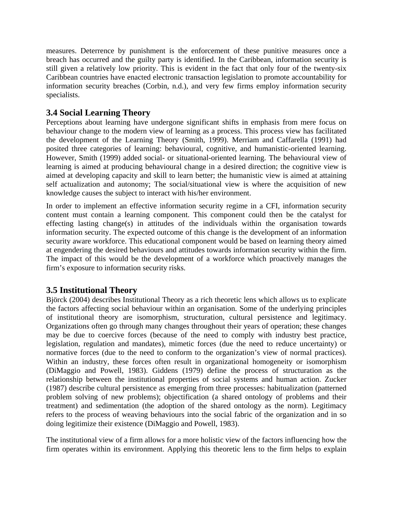measures. Deterrence by punishment is the enforcement of these punitive measures once a breach has occurred and the guilty party is identified. In the Caribbean, information security is still given a relatively low priority. This is evident in the fact that only four of the twenty-six Caribbean countries have enacted electronic transaction legislation to promote accountability for information security breaches (Corbin, n.d.), and very few firms employ information security specialists.

#### **3.4 Social Learning Theory**

Perceptions about learning have undergone significant shifts in emphasis from mere focus on behaviour change to the modern view of learning as a process. This process view has facilitated the development of the Learning Theory (Smith, 1999). Merriam and Caffarella (1991) had posited three categories of learning: behavioural, cognitive, and humanistic-oriented learning. However, Smith (1999) added social- or situational-oriented learning. The behavioural view of learning is aimed at producing behavioural change in a desired direction; the cognitive view is aimed at developing capacity and skill to learn better; the humanistic view is aimed at attaining self actualization and autonomy; The social/situational view is where the acquisition of new knowledge causes the subject to interact with his/her environment.

In order to implement an effective information security regime in a CFI, information security content must contain a learning component. This component could then be the catalyst for effecting lasting change(s) in attitudes of the individuals within the organisation towards information security. The expected outcome of this change is the development of an information security aware workforce. This educational component would be based on learning theory aimed at engendering the desired behaviours and attitudes towards information security within the firm. The impact of this would be the development of a workforce which proactively manages the firm's exposure to information security risks.

#### **3.5 Institutional Theory**

Björck (2004) describes Institutional Theory as a rich theoretic lens which allows us to explicate the factors affecting social behaviour within an organisation. Some of the underlying principles of institutional theory are isomorphism, structuration, cultural persistence and legitimacy. Organizations often go through many changes throughout their years of operation; these changes may be due to coercive forces (because of the need to comply with industry best practice, legislation, regulation and mandates), mimetic forces (due the need to reduce uncertainty) or normative forces (due to the need to conform to the organization's view of normal practices). Within an industry, these forces often result in organizational homogeneity or isomorphism (DiMaggio and Powell, 1983). Giddens (1979) define the process of structuration as the relationship between the institutional properties of social systems and human action. Zucker (1987) describe cultural persistence as emerging from three processes: habitualization (patterned problem solving of new problems); objectification (a shared ontology of problems and their treatment) and sedimentation (the adoption of the shared ontology as the norm). Legitimacy refers to the process of weaving behaviours into the social fabric of the organization and in so doing legitimize their existence (DiMaggio and Powell, 1983).

The institutional view of a firm allows for a more holistic view of the factors influencing how the firm operates within its environment. Applying this theoretic lens to the firm helps to explain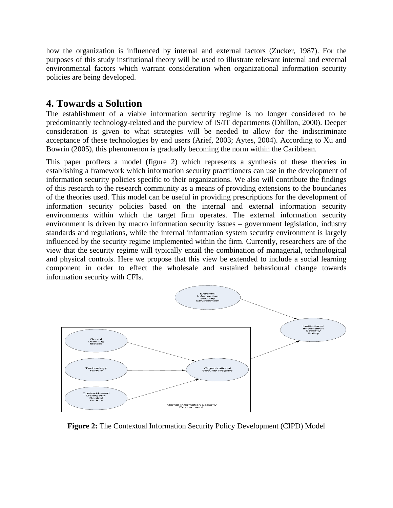how the organization is influenced by internal and external factors (Zucker, 1987). For the purposes of this study institutional theory will be used to illustrate relevant internal and external environmental factors which warrant consideration when organizational information security policies are being developed.

### **4. Towards a Solution**

The establishment of a viable information security regime is no longer considered to be predominantly technology-related and the purview of IS/IT departments (Dhillon, 2000). Deeper consideration is given to what strategies will be needed to allow for the indiscriminate acceptance of these technologies by end users (Arief, 2003; Aytes, 2004). According to Xu and Bowrin (2005), this phenomenon is gradually becoming the norm within the Caribbean.

This paper proffers a model (figure 2) which represents a synthesis of these theories in establishing a framework which information security practitioners can use in the development of information security policies specific to their organizations. We also will contribute the findings of this research to the research community as a means of providing extensions to the boundaries of the theories used. This model can be useful in providing prescriptions for the development of information security policies based on the internal and external information security environments within which the target firm operates. The external information security environment is driven by macro information security issues – government legislation, industry standards and regulations, while the internal information system security environment is largely influenced by the security regime implemented within the firm. Currently, researchers are of the view that the security regime will typically entail the combination of managerial, technological and physical controls. Here we propose that this view be extended to include a social learning component in order to effect the wholesale and sustained behavioural change towards information security with CFIs.



**Figure 2:** The Contextual Information Security Policy Development (CIPD) Model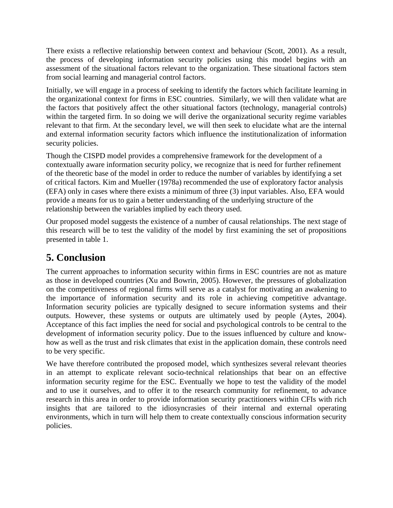There exists a reflective relationship between context and behaviour (Scott, 2001). As a result, the process of developing information security policies using this model begins with an assessment of the situational factors relevant to the organization. These situational factors stem from social learning and managerial control factors.

Initially, we will engage in a process of seeking to identify the factors which facilitate learning in the organizational context for firms in ESC countries. Similarly, we will then validate what are the factors that positively affect the other situational factors (technology, managerial controls) within the targeted firm. In so doing we will derive the organizational security regime variables relevant to that firm. At the secondary level, we will then seek to elucidate what are the internal and external information security factors which influence the institutionalization of information security policies.

Though the CISPD model provides a comprehensive framework for the development of a contextually aware information security policy, we recognize that is need for further refinement of the theoretic base of the model in order to reduce the number of variables by identifying a set of critical factors. Kim and Mueller (1978a) recommended the use of exploratory factor analysis (EFA) only in cases where there exists a minimum of three (3) input variables. Also, EFA would provide a means for us to gain a better understanding of the underlying structure of the relationship between the variables implied by each theory used.

Our proposed model suggests the existence of a number of causal relationships. The next stage of this research will be to test the validity of the model by first examining the set of propositions presented in table 1.

### **5. Conclusion**

The current approaches to information security within firms in ESC countries are not as mature as those in developed countries (Xu and Bowrin, 2005). However, the pressures of globalization on the competitiveness of regional firms will serve as a catalyst for motivating an awakening to the importance of information security and its role in achieving competitive advantage. Information security policies are typically designed to secure information systems and their outputs. However, these systems or outputs are ultimately used by people (Aytes, 2004). Acceptance of this fact implies the need for social and psychological controls to be central to the development of information security policy. Due to the issues influenced by culture and knowhow as well as the trust and risk climates that exist in the application domain, these controls need to be very specific.

We have therefore contributed the proposed model, which synthesizes several relevant theories in an attempt to explicate relevant socio-technical relationships that bear on an effective information security regime for the ESC. Eventually we hope to test the validity of the model and to use it ourselves, and to offer it to the research community for refinement, to advance research in this area in order to provide information security practitioners within CFIs with rich insights that are tailored to the idiosyncrasies of their internal and external operating environments, which in turn will help them to create contextually conscious information security policies.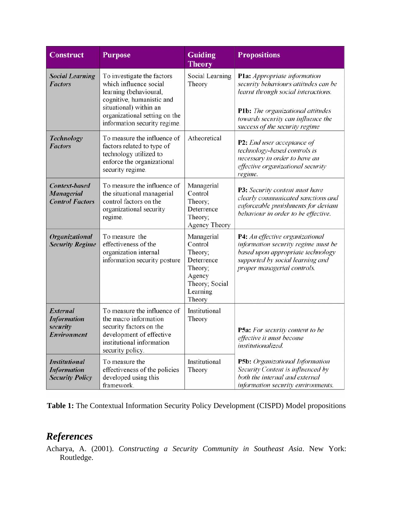| <b>Construct</b>                                                     | <b>Purpose</b>                                                                                                                                                                                         | Guiding<br><b>Theory</b>                                                                                    | <b>Propositions</b>                                                                                                                                                                                                      |
|----------------------------------------------------------------------|--------------------------------------------------------------------------------------------------------------------------------------------------------------------------------------------------------|-------------------------------------------------------------------------------------------------------------|--------------------------------------------------------------------------------------------------------------------------------------------------------------------------------------------------------------------------|
| <b>Social Learning</b><br><b>Factors</b>                             | To investigate the factors<br>which influence social<br>learning (behavioural,<br>cognitive, humanistic and<br>situational) within an<br>organizational setting on the<br>information security regime. | Social Learning<br>Theory                                                                                   | Pla: Appropriate information<br>security behaviours/attitudes can be<br>learnt through social interactions.<br>P1b: The organizational attitudes<br>towards security can influence the<br>success of the security regime |
| <b>Technology</b><br><b>Factors</b>                                  | To measure the influence of<br>factors related to type of<br>technology utilized to<br>enforce the organizational<br>security regime.                                                                  | Atheoretical                                                                                                | P2: End user acceptance of<br>technology-based controls is<br>necessary in order to have an<br>effective organizational security<br>regime.                                                                              |
| <b>Context-based</b><br>Managerial<br><b>Control Factors</b>         | To measure the influence of<br>the situational managerial<br>control factors on the<br>organizational security<br>regime.                                                                              | Managerial<br>Control<br>Theory;<br>Deterrence<br>Theory;<br>Agency Theory                                  | P3: Security content must have<br>clearly communicated sanctions and<br>enforceable punishments for deviant<br>behaviour in order to be effective.                                                                       |
| Organizational<br><b>Security Regime</b>                             | To measure the<br>effectiveness of the<br>organization internal<br>information security posture                                                                                                        | Managerial<br>Control<br>Theory;<br>Deterrence<br>Theory;<br>Agency<br>Theory; Social<br>Learning<br>Theory | P4: An effective organizational<br>information security regime must be<br>based upon appropriate technology<br>supported by social learning and<br>proper managerial controls.                                           |
| <b>External</b><br><b>Information</b><br>security<br>Environment     | To measure the influence of<br>the macro information<br>security factors on the<br>development of effective<br>institutional information<br>security policy.                                           | Institutional<br>Theory                                                                                     | P5a: For security content to be<br>effective it must become<br>institutionalized.                                                                                                                                        |
| <b>Institutional</b><br><b>Information</b><br><b>Security Policy</b> | To measure the<br>effectiveness of the policies<br>developed using this<br>framework.                                                                                                                  | Institutional<br>Theory                                                                                     | P5b: Organizational Information<br>Security Content is influenced by<br>both the internal and external<br>information security environments.                                                                             |

**Table 1:** The Contextual Information Security Policy Development (CISPD) Model propositions

### *References*

Acharya, A. (2001). *Constructing a Security Community in Southeast Asia*. New York: Routledge.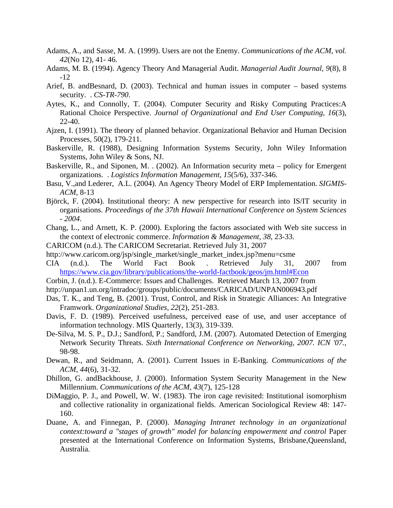- Adams, A., and Sasse, M. A. (1999). Users are not the Enemy. *Communications of the ACM, vol. 42*(No 12), 41- 46.
- Adams, M. B. (1994). Agency Theory And Managerial Audit. *Managerial Audit Journal, 9*(8), 8 -12
- Arief, B. andBesnard, D. (2003). Technical and human issues in computer based systems security. . *CS-TR-790*.
- Aytes, K., and Connolly, T. (2004). Computer Security and Risky Computing Practices:A Rational Choice Perspective. *Journal of Organizational and End User Computing, 16*(3), 22-40.
- Ajzen, I. (1991). The theory of planned behavior. Organizational Behavior and Human Decision Processes, 50(2), 179-211.
- Baskerville, R. (1988), Designing Information Systems Security, John Wiley Information Systems, John Wiley & Sons, NJ.
- Baskerville, R., and Siponen, M. . (2002). An Information security meta policy for Emergent organizations. . *Logistics Information Management, 15*(5/6), 337-346.
- Basu, V.,and Lederer, A.L. (2004). An Agency Theory Model of ERP Implementation. *SIGMIS-ACM*, 8-13
- Björck, F. (2004). Institutional theory: A new perspective for research into IS/IT security in organisations. *Proceedings of the 37th Hawaii International Conference on System Sciences - 2004*.
- Chang, L., and Arnett, K. P. (2000). Exploring the factors associated with Web site success in the context of electronic commerce. *Information & Management, 38*, 23-33.
- CARICOM (n.d.). The CARICOM Secretariat. Retrieved July 31, 2007
- http://www.caricom.org/jsp/single\_market/single\_market\_index.jsp?menu=csme
- CIA (n.d.). The World Fact Book . Retrieved July 31, 2007 from https://www.cia.gov/library/publications/the-world-factbook/geos/jm.html#Econ
- Corbin, J. (n.d.). E-Commerce: Issues and Challenges. Retrieved March 13, 2007 from
- http://unpan1.un.org/intradoc/groups/public/documents/CARICAD/UNPAN006943.pdf
- Das, T. K., and Teng, B. (2001). Trust, Control, and Risk in Strategic Alliances: An Integrative Framwork. *Organizational Studies, 22*(2), 251-283.
- Davis, F. D. (1989). Perceived usefulness, perceived ease of use, and user acceptance of information technology. MIS Quarterly, 13(3), 319-339.
- De-Silva, M. S. P., D.J.; Sandford, P.; Sandford, J.M. (2007). Automated Detection of Emerging Network Security Threats. *Sixth International Conference on Networking, 2007. ICN '07.*, 98-98.
- Dewan, R., and Seidmann, A. (2001). Current Issues in E-Banking. *Communications of the ACM, 44*(6), 31-32.
- Dhillon, G. andBackhouse, J. (2000). Information System Security Management in the New Millennium. *Communications of the ACM, 43*(7), 125-128
- DiMaggio, P. J., and Powell, W. W. (1983). The iron cage revisited: Institutional isomorphism and collective rationality in organizational fields. American Sociological Review 48: 147- 160.
- Duane, A. and Finnegan, P. (2000). *Managing Intranet technology in an organizational context:toward a "stages of growth" model for balancing empowerment and control Paper* presented at the International Conference on Information Systems, Brisbane,Queensland, Australia.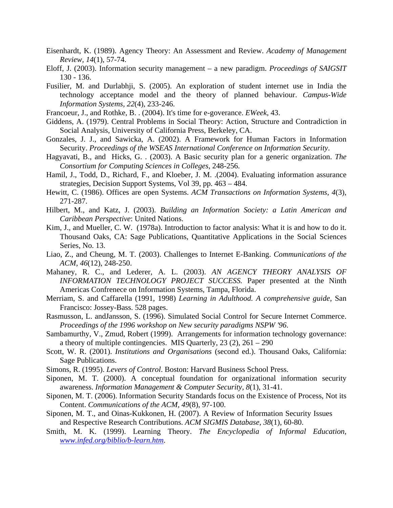- Eisenhardt, K. (1989). Agency Theory: An Assessment and Review. *Academy of Management Review, 14*(1), 57-74.
- Eloff, J. (2003). Information security management a new paradigm. *Proceedings of SAIGSIT*  130 - 136.
- Fusilier, M. and Durlabhji, S. (2005). An exploration of student internet use in India the technology acceptance model and the theory of planned behaviour. *Campus-Wide Information Systems, 22*(4), 233-246.
- Francoeur, J., and Rothke, B. . (2004). It's time for e-goverance. *EWeek*, 43.
- Giddens, A. (1979). Central Problems in Social Theory: Action, Structure and Contradiction in Social Analysis, University of California Press, Berkeley, CA.
- Gonzales, J. J., and Sawicka, A. (2002). A Framework for Human Factors in Information Security. *Proceedings of the WSEAS International Conference on Information Security*.
- Hagyavati, B., and Hicks, G. . (2003). A Basic security plan for a generic organization. *The Consortium for Computing Sciences in Colleges*, 248-256.
- Hamil, J., Todd, D., Richard, F., and Kloeber, J. M. .(2004). Evaluating information assurance strategies, Decision Support Systems, Vol 39, pp. 463 – 484.
- Hewitt, C. (1986). Offices are open Systems. *ACM Transactions on Information Systems, 4*(3), 271-287.
- Hilbert, M., and Katz, J. (2003). *Building an Information Society: a Latin American and Caribbean Perspective*: United Nations.
- Kim, J., and Mueller, C. W. (1978a). Introduction to factor analysis: What it is and how to do it. Thousand Oaks, CA: Sage Publications, Quantitative Applications in the Social Sciences Series, No. 13.
- Liao, Z., and Cheung, M. T. (2003). Challenges to Internet E-Banking. *Communications of the ACM, 46*(12), 248-250.
- Mahaney, R. C., and Lederer, A. L. (2003). *AN AGENCY THEORY ANALYSIS OF INFORMATION TECHNOLOGY PROJECT SUCCESS.* Paper presented at the Ninth Americas Confrenece on Information Systems, Tampa, Florida.
- Merriam, S. and Caffarella (1991, 1998) *Learning in Adulthood. A comprehensive guide*, San Francisco: Jossey-Bass. 528 pages.
- Rasmusson, L. andJansson, S. (1996). Simulated Social Control for Secure Internet Commerce. *Proceedings of the 1996 workshop on New security paradigms NSPW '96*.
- Sambamurthy, V., Zmud, Robert (1999). Arrangements for information technology governance: a theory of multiple contingencies. MIS Quarterly,  $23$  (2),  $261 - 290$
- Scott, W. R. (2001). *Institutions and Organisations* (second ed.). Thousand Oaks, California: Sage Publications.
- Simons, R. (1995). *Levers of Control*. Boston: Harvard Business School Press.
- Siponen, M. T. (2000). A conceptual foundation for organizational information security awareness. *Information Management & Computer Security, 8*(1), 31-41.
- Siponen, M. T. (2006). Information Security Standards focus on the Existence of Process, Not its Content. *Communications of the ACM, 49*(8), 97-100.
- Siponen, M. T., and Oinas-Kukkonen, H. (2007). A Review of Information Security Issues and Respective Research Contributions. *ACM SIGMIS Database, 38*(1), 60-80.
- Smith, M. K. (1999). Learning Theory. *The Encyclopedia of Informal Education, www.infed.org/biblio/b-learn.htm*.